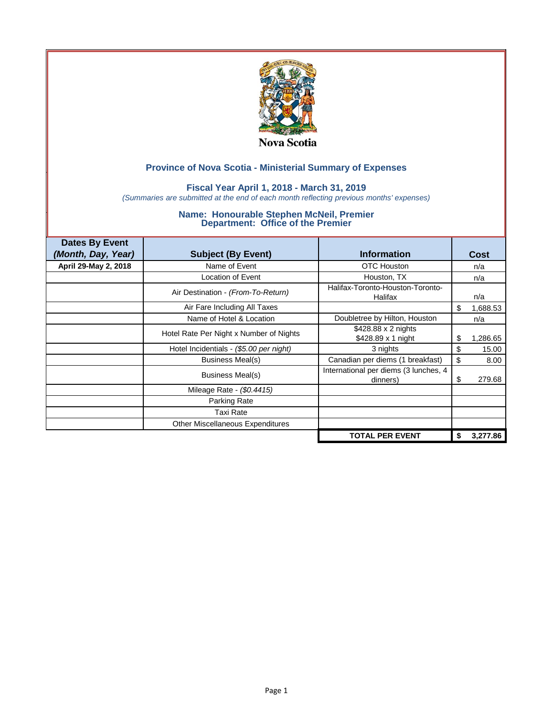

### **Fiscal Year April 1, 2018 - March 31, 2019**

*(Summaries are submitted at the end of each month reflecting previous months' expenses)*

| <b>Dates By Event</b> |                                         |                                                   |    |             |
|-----------------------|-----------------------------------------|---------------------------------------------------|----|-------------|
| (Month, Day, Year)    | <b>Subject (By Event)</b>               | <b>Information</b>                                |    | <b>Cost</b> |
| April 29-May 2, 2018  | Name of Event                           | <b>OTC Houston</b>                                |    | n/a         |
|                       | Location of Event                       | Houston, TX                                       |    | n/a         |
|                       | Air Destination - (From-To-Return)      | Halifax-Toronto-Houston-Toronto-<br>Halifax       |    | n/a         |
|                       | Air Fare Including All Taxes            |                                                   | \$ | 1,688.53    |
|                       | Name of Hotel & Location                | Doubletree by Hilton, Houston                     |    | n/a         |
|                       | Hotel Rate Per Night x Number of Nights | \$428.88 x 2 nights<br>\$428.89 x 1 night         | \$ | 1,286.65    |
|                       | Hotel Incidentials - (\$5.00 per night) | 3 nights                                          | \$ | 15.00       |
|                       | Business Meal(s)                        | Canadian per diems (1 breakfast)                  | \$ | 8.00        |
|                       | Business Meal(s)                        | International per diems (3 lunches, 4<br>dinners) | S  | 279.68      |
|                       | Mileage Rate - (\$0.4415)               |                                                   |    |             |
|                       | Parking Rate                            |                                                   |    |             |
|                       | Taxi Rate                               |                                                   |    |             |
|                       | <b>Other Miscellaneous Expenditures</b> |                                                   |    |             |
|                       |                                         | <b>TOTAL PER EVENT</b>                            | S  | 3,277.86    |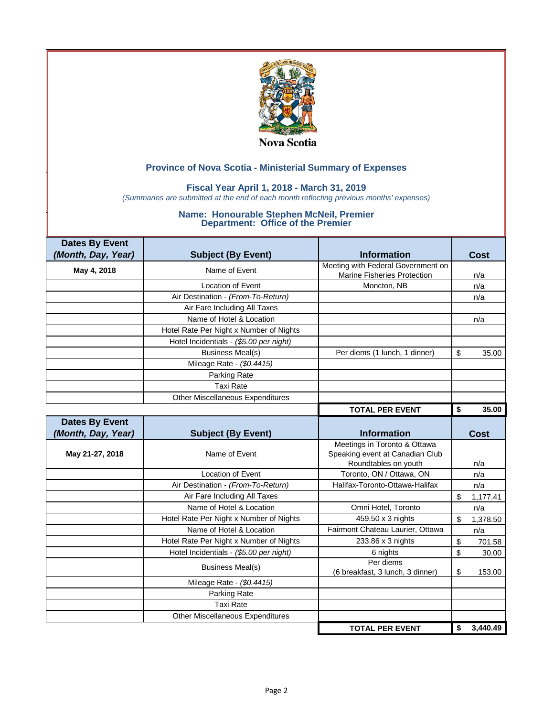

### **Fiscal Year April 1, 2018 - March 31, 2019**

*(Summaries are submitted at the end of each month reflecting previous months' expenses)*

| <b>Dates By Event</b> |                                         |                                    |                |
|-----------------------|-----------------------------------------|------------------------------------|----------------|
| (Month, Day, Year)    | <b>Subject (By Event)</b>               | <b>Information</b>                 | <b>Cost</b>    |
| May 4, 2018           | Name of Event                           | Meeting with Federal Government on |                |
|                       |                                         | Marine Fisheries Protection        | n/a            |
|                       | <b>Location of Event</b>                | Moncton, NB                        | n/a            |
|                       | Air Destination - (From-To-Return)      |                                    | n/a            |
|                       | Air Fare Including All Taxes            |                                    |                |
|                       | Name of Hotel & Location                |                                    | n/a            |
|                       | Hotel Rate Per Night x Number of Nights |                                    |                |
|                       | Hotel Incidentials - (\$5.00 per night) |                                    |                |
|                       | <b>Business Meal(s)</b>                 | Per diems (1 lunch, 1 dinner)      | \$<br>35.00    |
|                       | Mileage Rate - (\$0.4415)               |                                    |                |
|                       | Parking Rate                            |                                    |                |
|                       | <b>Taxi Rate</b>                        |                                    |                |
|                       | Other Miscellaneous Expenditures        |                                    |                |
|                       |                                         | <b>TOTAL PER EVENT</b>             | \$<br>35.00    |
| <b>Dates By Event</b> |                                         |                                    |                |
| (Month, Day, Year)    | <b>Subject (By Event)</b>               | <b>Information</b>                 | <b>Cost</b>    |
|                       |                                         | Meetings in Toronto & Ottawa       |                |
| May 21-27, 2018       | Name of Event                           | Speaking event at Canadian Club    |                |
|                       |                                         | Roundtables on youth               | n/a            |
|                       | <b>Location of Event</b>                | Toronto, ON / Ottawa, ON           | n/a            |
|                       | Air Destination - (From-To-Return)      | Halifax-Toronto-Ottawa-Halifax     | n/a            |
|                       | Air Fare Including All Taxes            |                                    | \$<br>1,177.41 |
|                       |                                         |                                    |                |
|                       | Name of Hotel & Location                | Omni Hotel, Toronto                | n/a            |
|                       | Hotel Rate Per Night x Number of Nights | 459.50 x 3 nights                  | \$<br>1,378.50 |
|                       | Name of Hotel & Location                | Fairmont Chateau Laurier, Ottawa   | n/a            |
|                       | Hotel Rate Per Night x Number of Nights | 233.86 x 3 nights                  | \$<br>701.58   |
|                       | Hotel Incidentials - (\$5.00 per night) | 6 nights                           | \$<br>30.00    |
|                       |                                         | Per diems                          |                |
|                       | <b>Business Meal(s)</b>                 | (6 breakfast, 3 lunch, 3 dinner)   | \$<br>153.00   |
|                       | Mileage Rate - (\$0.4415)               |                                    |                |
|                       | Parking Rate                            |                                    |                |
|                       | <b>Taxi Rate</b>                        |                                    |                |
|                       | Other Miscellaneous Expenditures        |                                    |                |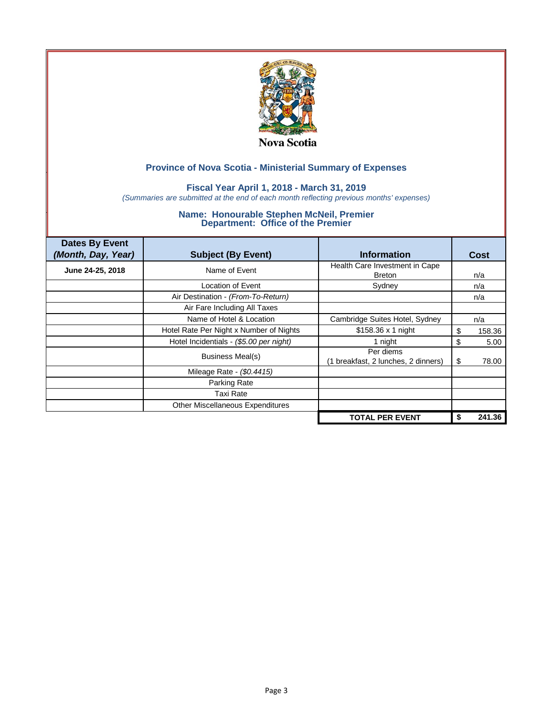

## **Fiscal Year April 1, 2018 - March 31, 2019**

*(Summaries are submitted at the end of each month reflecting previous months' expenses)*

| <b>Dates By Event</b><br>(Month, Day, Year) | <b>Subject (By Event)</b>               | <b>Information</b>                               |    | Cost   |
|---------------------------------------------|-----------------------------------------|--------------------------------------------------|----|--------|
| June 24-25, 2018                            | Name of Event                           | Health Care Investment in Cape<br><b>Breton</b>  |    | n/a    |
|                                             | Location of Event                       | Sydney                                           |    | n/a    |
|                                             | Air Destination - (From-To-Return)      |                                                  |    | n/a    |
|                                             | Air Fare Including All Taxes            |                                                  |    |        |
|                                             | Name of Hotel & Location                | Cambridge Suites Hotel, Sydney                   |    | n/a    |
|                                             | Hotel Rate Per Night x Number of Nights | \$158.36 x 1 night                               | S  | 158.36 |
|                                             | Hotel Incidentials - (\$5.00 per night) | 1 night                                          | \$ | 5.00   |
|                                             | Business Meal(s)                        | Per diems<br>(1 breakfast, 2 lunches, 2 dinners) | S  | 78.00  |
|                                             | Mileage Rate - (\$0.4415)               |                                                  |    |        |
|                                             | Parking Rate                            |                                                  |    |        |
|                                             | Taxi Rate                               |                                                  |    |        |
|                                             | Other Miscellaneous Expenditures        |                                                  |    |        |
|                                             |                                         | <b>TOTAL PER EVENT</b>                           | \$ | 241.36 |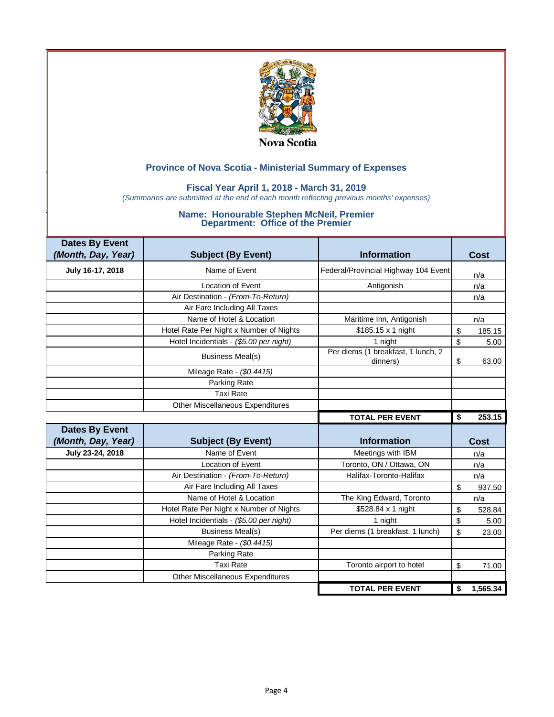

### **Fiscal Year April 1, 2018 - March 31, 2019**

*(Summaries are submitted at the end of each month reflecting previous months' expenses)*

| <b>Dates By Event</b><br>(Month, Day, Year) | <b>Subject (By Event)</b>               | <b>Information</b>                             | <b>Cost</b>    |
|---------------------------------------------|-----------------------------------------|------------------------------------------------|----------------|
|                                             |                                         |                                                |                |
| July 16-17, 2018                            | Name of Event                           | Federal/Provincial Highway 104 Event           | n/a            |
|                                             | <b>Location of Event</b>                | Antigonish                                     | n/a            |
|                                             | Air Destination - (From-To-Return)      |                                                | n/a            |
|                                             | Air Fare Including All Taxes            |                                                |                |
|                                             | Name of Hotel & Location                | Maritime Inn, Antigonish                       | n/a            |
|                                             | Hotel Rate Per Night x Number of Nights | \$185.15 x 1 night                             | 185.15<br>\$   |
|                                             | Hotel Incidentials - (\$5.00 per night) | 1 night                                        | \$<br>5.00     |
|                                             | <b>Business Meal(s)</b>                 | Per diems (1 breakfast, 1 lunch, 2<br>dinners) | \$<br>63.00    |
|                                             | Mileage Rate - (\$0.4415)               |                                                |                |
|                                             | Parking Rate                            |                                                |                |
|                                             | <b>Taxi Rate</b>                        |                                                |                |
|                                             | Other Miscellaneous Expenditures        |                                                |                |
|                                             |                                         | <b>TOTAL PER EVENT</b>                         | 253.15<br>\$   |
| <b>Dates By Event</b>                       |                                         |                                                |                |
| (Month, Day, Year)                          | <b>Subject (By Event)</b>               | <b>Information</b>                             | Cost           |
| July 23-24, 2018                            | Name of Event                           | Meetings with IBM                              | n/a            |
|                                             | Location of Event                       | Toronto, ON / Ottawa, ON                       | n/a            |
|                                             | Air Destination - (From-To-Return)      | Halifax-Toronto-Halifax                        | n/a            |
|                                             | Air Fare Including All Taxes            |                                                | \$<br>937.50   |
|                                             | Name of Hotel & Location                | The King Edward, Toronto                       | n/a            |
|                                             | Hotel Rate Per Night x Number of Nights | \$528.84 x 1 night                             | \$<br>528.84   |
|                                             | Hotel Incidentials - (\$5.00 per night) | 1 night                                        | \$<br>5.00     |
|                                             | <b>Business Meal(s)</b>                 | Per diems (1 breakfast, 1 lunch)               | \$<br>23.00    |
|                                             | Mileage Rate - (\$0.4415)               |                                                |                |
|                                             | Parking Rate                            |                                                |                |
|                                             | <b>Taxi Rate</b>                        | Toronto airport to hotel                       | \$<br>71.00    |
|                                             | <b>Other Miscellaneous Expenditures</b> |                                                |                |
|                                             |                                         | <b>TOTAL PER EVENT</b>                         | 1,565.34<br>\$ |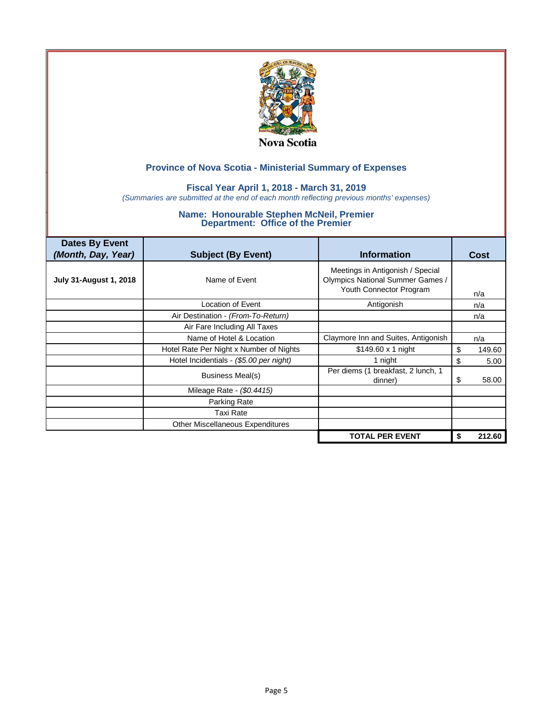

### **Fiscal Year April 1, 2018 - March 31, 2019**

*(Summaries are submitted at the end of each month reflecting previous months' expenses)*

| <b>Dates By Event</b><br>(Month, Day, Year) | <b>Subject (By Event)</b>               | <b>Information</b>                                                                                     | Cost         |
|---------------------------------------------|-----------------------------------------|--------------------------------------------------------------------------------------------------------|--------------|
| <b>July 31-August 1, 2018</b>               | Name of Event                           | Meetings in Antigonish / Special<br><b>Olympics National Summer Games /</b><br>Youth Connector Program | n/a          |
|                                             | Location of Event                       | Antigonish                                                                                             | n/a          |
|                                             | Air Destination - (From-To-Return)      |                                                                                                        | n/a          |
|                                             | Air Fare Including All Taxes            |                                                                                                        |              |
|                                             | Name of Hotel & Location                | Claymore Inn and Suites, Antigonish                                                                    | n/a          |
|                                             | Hotel Rate Per Night x Number of Nights | $$149.60 \times 1$ night                                                                               | \$<br>149.60 |
|                                             | Hotel Incidentials - (\$5.00 per night) | 1 night                                                                                                | \$<br>5.00   |
|                                             | Business Meal(s)                        | Per diems (1 breakfast, 2 lunch, 1<br>dinner)                                                          | 58.00<br>S   |
|                                             | Mileage Rate - (\$0.4415)               |                                                                                                        |              |
|                                             | Parking Rate                            |                                                                                                        |              |
|                                             | Taxi Rate                               |                                                                                                        |              |
|                                             | Other Miscellaneous Expenditures        |                                                                                                        |              |
|                                             |                                         | <b>TOTAL PER EVENT</b>                                                                                 | 212.60       |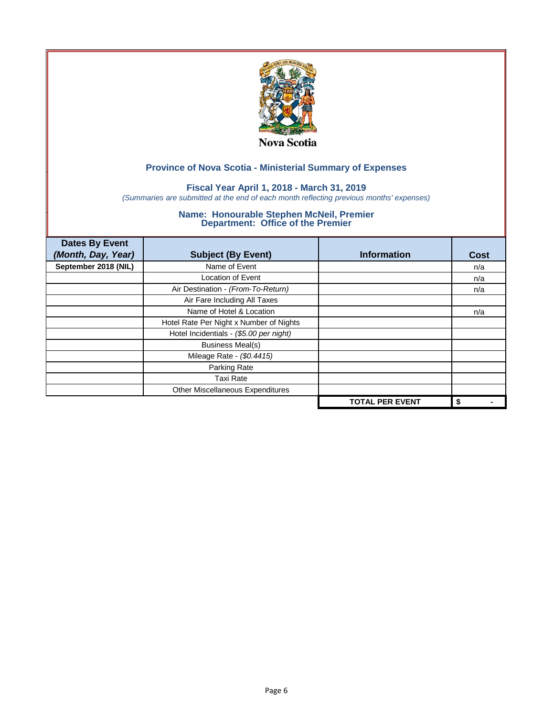

## **Fiscal Year April 1, 2018 - March 31, 2019**

*(Summaries are submitted at the end of each month reflecting previous months' expenses)*

| <b>Dates By Event</b><br>(Month, Day, Year) | <b>Subject (By Event)</b>               | <b>Information</b>     | <b>Cost</b> |
|---------------------------------------------|-----------------------------------------|------------------------|-------------|
| September 2018 (NIL)                        | Name of Event                           |                        | n/a         |
|                                             | <b>Location of Event</b>                |                        | n/a         |
|                                             | Air Destination - (From-To-Return)      |                        | n/a         |
|                                             | Air Fare Including All Taxes            |                        |             |
|                                             | Name of Hotel & Location                |                        | n/a         |
|                                             | Hotel Rate Per Night x Number of Nights |                        |             |
|                                             | Hotel Incidentials - (\$5.00 per night) |                        |             |
|                                             | <b>Business Meal(s)</b>                 |                        |             |
|                                             | Mileage Rate - (\$0.4415)               |                        |             |
|                                             | Parking Rate                            |                        |             |
|                                             | <b>Taxi Rate</b>                        |                        |             |
|                                             | Other Miscellaneous Expenditures        |                        |             |
|                                             |                                         | <b>TOTAL PER EVENT</b> | \$          |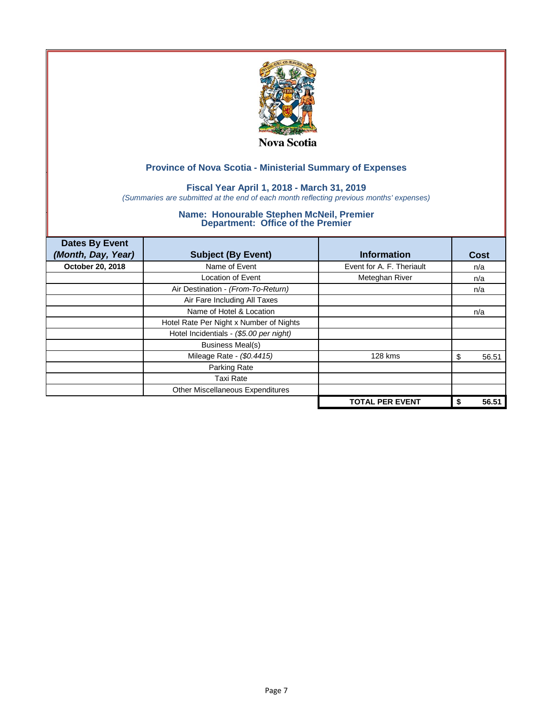

## **Fiscal Year April 1, 2018 - March 31, 2019**

*(Summaries are submitted at the end of each month reflecting previous months' expenses)*

| <b>Dates By Event</b><br>(Month, Day, Year) | <b>Subject (By Event)</b>               | <b>Information</b>        | Cost        |
|---------------------------------------------|-----------------------------------------|---------------------------|-------------|
| October 20, 2018                            | Name of Event                           | Event for A. F. Theriault | n/a         |
|                                             | <b>Location of Event</b>                | Meteghan River            | n/a         |
|                                             | Air Destination - (From-To-Return)      |                           | n/a         |
|                                             | Air Fare Including All Taxes            |                           |             |
|                                             | Name of Hotel & Location                |                           | n/a         |
|                                             | Hotel Rate Per Night x Number of Nights |                           |             |
|                                             | Hotel Incidentials - (\$5.00 per night) |                           |             |
|                                             | <b>Business Meal(s)</b>                 |                           |             |
|                                             | Mileage Rate - (\$0.4415)               | 128 kms                   | 56.51<br>S  |
|                                             | Parking Rate                            |                           |             |
|                                             | <b>Taxi Rate</b>                        |                           |             |
|                                             | Other Miscellaneous Expenditures        |                           |             |
|                                             |                                         | <b>TOTAL PER EVENT</b>    | 56.51<br>\$ |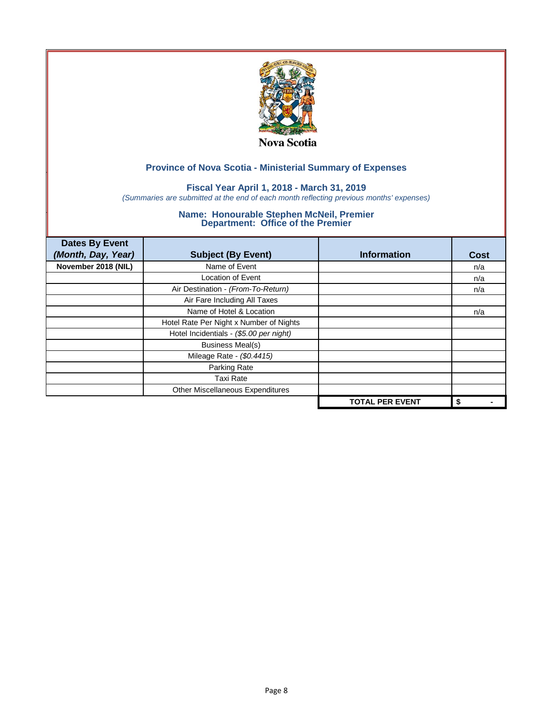

## **Fiscal Year April 1, 2018 - March 31, 2019**

*(Summaries are submitted at the end of each month reflecting previous months' expenses)*

| <b>Dates By Event</b><br>(Month, Day, Year) | <b>Subject (By Event)</b>               | <b>Information</b>     | Cost |
|---------------------------------------------|-----------------------------------------|------------------------|------|
| November 2018 (NIL)                         | Name of Event                           |                        | n/a  |
|                                             | <b>Location of Event</b>                |                        | n/a  |
|                                             | Air Destination - (From-To-Return)      |                        | n/a  |
|                                             | Air Fare Including All Taxes            |                        |      |
|                                             | Name of Hotel & Location                |                        | n/a  |
|                                             | Hotel Rate Per Night x Number of Nights |                        |      |
|                                             | Hotel Incidentials - (\$5.00 per night) |                        |      |
|                                             | <b>Business Meal(s)</b>                 |                        |      |
|                                             | Mileage Rate - (\$0.4415)               |                        |      |
|                                             | Parking Rate                            |                        |      |
|                                             | <b>Taxi Rate</b>                        |                        |      |
|                                             | Other Miscellaneous Expenditures        |                        |      |
|                                             |                                         | <b>TOTAL PER EVENT</b> | \$   |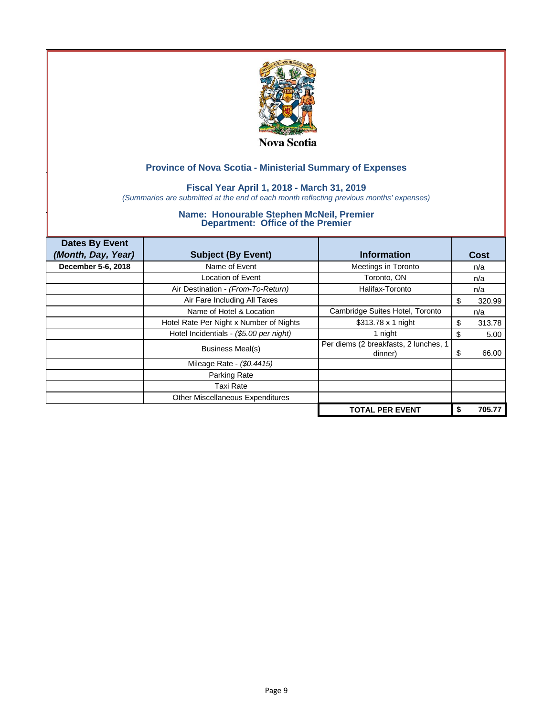

## **Fiscal Year April 1, 2018 - March 31, 2019**

*(Summaries are submitted at the end of each month reflecting previous months' expenses)*

| <b>Dates By Event</b> |                                         |                                                  |    |        |
|-----------------------|-----------------------------------------|--------------------------------------------------|----|--------|
| (Month, Day, Year)    | <b>Subject (By Event)</b>               | <b>Information</b>                               |    | Cost   |
| December 5-6, 2018    | Name of Event                           | Meetings in Toronto                              |    | n/a    |
|                       | Location of Event                       | Toronto, ON                                      |    | n/a    |
|                       | Air Destination - (From-To-Return)      | Halifax-Toronto                                  |    | n/a    |
|                       | Air Fare Including All Taxes            |                                                  | S  | 320.99 |
|                       | Name of Hotel & Location                | Cambridge Suites Hotel, Toronto                  |    | n/a    |
|                       | Hotel Rate Per Night x Number of Nights | \$313.78 x 1 night                               | S  | 313.78 |
|                       | Hotel Incidentials - (\$5.00 per night) | 1 night                                          | \$ | 5.00   |
|                       | Business Meal(s)                        | Per diems (2 breakfasts, 2 lunches, 1<br>dinner) | \$ | 66.00  |
|                       | Mileage Rate - (\$0.4415)               |                                                  |    |        |
|                       | Parking Rate                            |                                                  |    |        |
|                       | Taxi Rate                               |                                                  |    |        |
|                       | Other Miscellaneous Expenditures        |                                                  |    |        |
|                       |                                         | <b>TOTAL PER EVENT</b>                           |    | 705.77 |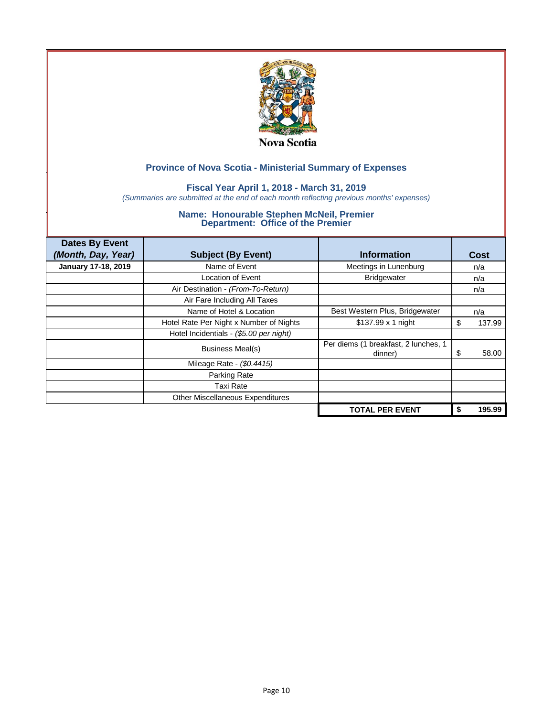

## **Fiscal Year April 1, 2018 - March 31, 2019**

*(Summaries are submitted at the end of each month reflecting previous months' expenses)*

| <b>Dates By Event</b>      |                                         |                                                 |             |
|----------------------------|-----------------------------------------|-------------------------------------------------|-------------|
| (Month, Day, Year)         | <b>Subject (By Event)</b>               | <b>Information</b>                              | Cost        |
| <b>January 17-18, 2019</b> | Name of Event                           | Meetings in Lunenburg                           | n/a         |
|                            | Location of Event                       | <b>Bridgewater</b>                              | n/a         |
|                            | Air Destination - (From-To-Return)      |                                                 | n/a         |
|                            | Air Fare Including All Taxes            |                                                 |             |
|                            | Name of Hotel & Location                | Best Western Plus, Bridgewater                  | n/a         |
|                            | Hotel Rate Per Night x Number of Nights | \$137.99 x 1 night                              | 137.99<br>S |
|                            | Hotel Incidentials - (\$5.00 per night) |                                                 |             |
|                            | Business Meal(s)                        | Per diems (1 breakfast, 2 lunches, 1<br>dinner) | 58.00<br>\$ |
|                            | Mileage Rate - (\$0.4415)               |                                                 |             |
|                            | Parking Rate                            |                                                 |             |
|                            | Taxi Rate                               |                                                 |             |
|                            | Other Miscellaneous Expenditures        |                                                 |             |
|                            |                                         | <b>TOTAL PER EVENT</b>                          | 195.99      |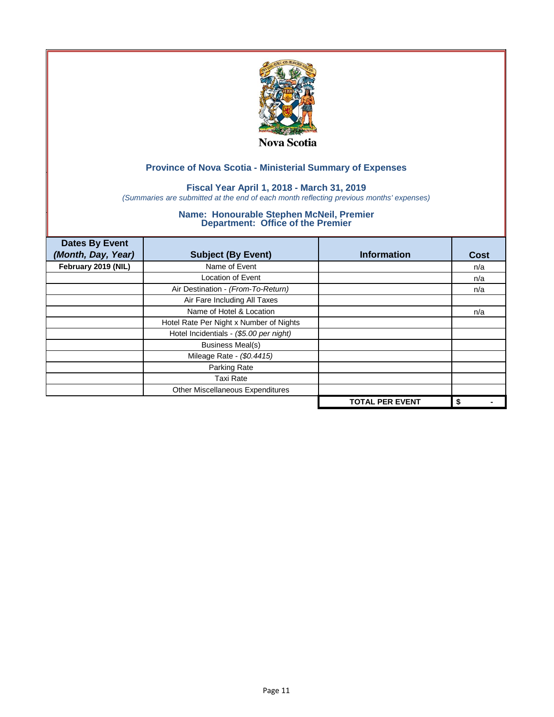

## **Fiscal Year April 1, 2018 - March 31, 2019**

*(Summaries are submitted at the end of each month reflecting previous months' expenses)*

| <b>Dates By Event</b><br>(Month, Day, Year) | <b>Subject (By Event)</b>               | <b>Information</b>     | <b>Cost</b> |
|---------------------------------------------|-----------------------------------------|------------------------|-------------|
| February 2019 (NIL)                         | Name of Event                           |                        | n/a         |
|                                             | <b>Location of Event</b>                |                        | n/a         |
|                                             | Air Destination - (From-To-Return)      |                        | n/a         |
|                                             | Air Fare Including All Taxes            |                        |             |
|                                             | Name of Hotel & Location                |                        | n/a         |
|                                             | Hotel Rate Per Night x Number of Nights |                        |             |
|                                             | Hotel Incidentials - (\$5.00 per night) |                        |             |
|                                             | <b>Business Meal(s)</b>                 |                        |             |
|                                             | Mileage Rate - (\$0.4415)               |                        |             |
|                                             | Parking Rate                            |                        |             |
|                                             | <b>Taxi Rate</b>                        |                        |             |
|                                             | Other Miscellaneous Expenditures        |                        |             |
|                                             |                                         | <b>TOTAL PER EVENT</b> | \$          |